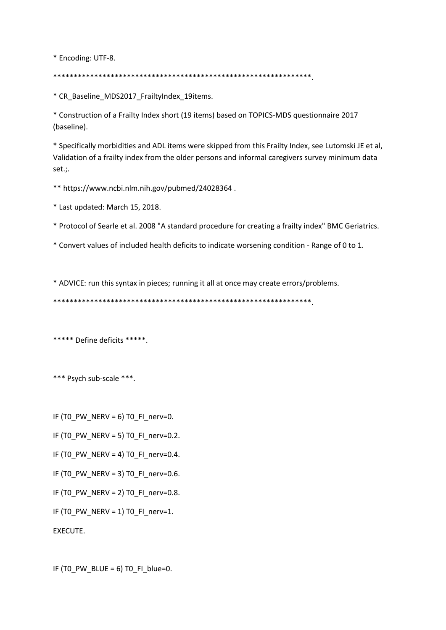\* Encoding: UTF-8.

\*\*\*\*\*\*\*\*\*\*\*\*\*\*\*\*\*\*\*\*\*\*\*\*\*\*\*\*\*\*\*\*\*\*\*\*\*\*\*\*\*\*\*\*\*\*\*\*\*\*\*\*\*\*\*\*\*\*\*\*\*\*\*.

\* CR\_Baseline\_MDS2017\_FrailtyIndex\_19items.

\* Construction of a Frailty Index short (19 items) based on TOPICS-MDS questionnaire 2017 (baseline).

\* Specifically morbidities and ADL items were skipped from this Frailty Index, see Lutomski JE et al, Validation of a frailty index from the older persons and informal caregivers survey minimum data set.;.

\*\* https://www.ncbi.nlm.nih.gov/pubmed/24028364 .

\* Last updated: March 15, 2018.

\* Protocol of Searle et al. 2008 "A standard procedure for creating a frailty index" BMC Geriatrics.

\* Convert values of included health deficits to indicate worsening condition - Range of 0 to 1.

\* ADVICE: run this syntax in pieces; running it all at once may create errors/problems.

\*\*\*\*\*\*\*\*\*\*\*\*\*\*\*\*\*\*\*\*\*\*\*\*\*\*\*\*\*\*\*\*\*\*\*\*\*\*\*\*\*\*\*\*\*\*\*\*\*\*\*\*\*\*\*\*\*\*\*\*\*\*\*.

\*\*\*\*\* Define deficits \*\*\*\*\*.

\*\*\* Psych sub-scale \*\*\*.

IF (TO PW NERV = 6) TO FI\_nerv=0.

IF (T0\_PW\_NERV = 5) T0\_FI\_nerv=0.2.

IF (TO PW NERV = 4) TO FI\_nerv=0.4.

IF (TO\_PW\_NERV = 3) TO\_FI\_nerv=0.6.

IF (TO PW NERV = 2) TO FI\_nerv=0.8.

IF (TO PW NERV = 1) TO FI\_nerv=1.

EXECUTE.

IF  $(TO_PW_BLUE = 6)$  TO\_FI\_blue=0.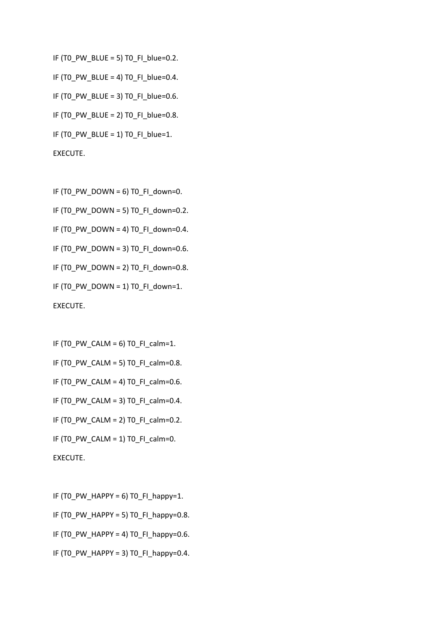IF (TO PW\_BLUE = 5) TO FI\_blue=0.2. IF (T0\_PW\_BLUE = 4) T0\_FI\_blue=0.4. IF (TO PW\_BLUE = 3) TO FI\_blue=0.6. IF (TO PW\_BLUE = 2) TO FI\_blue=0.8. IF (T0\_PW\_BLUE = 1) T0\_FI\_blue=1. EXECUTE.

IF (T0\_PW\_DOWN = 6) T0\_FI\_down=0.

IF (T0\_PW\_DOWN = 5) T0\_FI\_down=0.2.

IF (T0\_PW\_DOWN = 4) T0\_FI\_down=0.4.

IF (T0\_PW\_DOWN = 3) T0\_FI\_down=0.6.

IF (T0\_PW\_DOWN = 2) T0\_FI\_down=0.8.

IF (T0\_PW\_DOWN = 1) T0\_FI\_down=1.

EXECUTE.

IF  $(T0_PW_CALM = 6)$  TO\_FI\_calm=1.

IF (T0\_PW\_CALM = 5) T0\_FI\_calm=0.8.

IF (T0\_PW\_CALM = 4) T0\_FI\_calm=0.6.

IF (TO PW CALM = 3) TO FI calm=0.4.

IF (TO\_PW\_CALM = 2) TO\_FI\_calm=0.2.

IF (TO PW CALM = 1) TO FI\_calm=0.

EXECUTE.

IF (TO PW HAPPY = 6) TO FI happy=1. IF (T0\_PW\_HAPPY = 5) T0\_FI\_happy=0.8.

IF (T0\_PW\_HAPPY = 4) T0\_FI\_happy=0.6.

IF (TO PW HAPPY = 3) TO FI happy=0.4.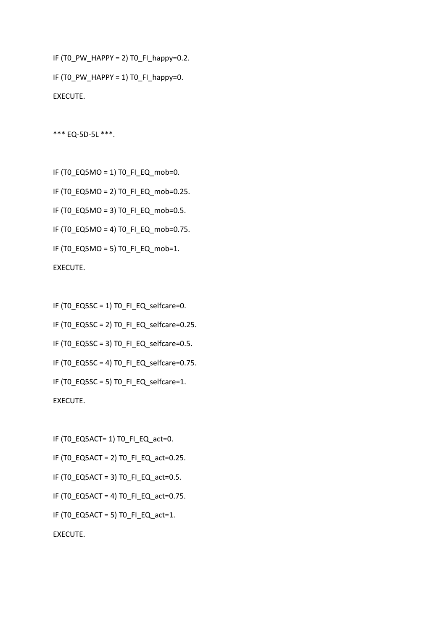```
IF (T0_PW_HAPPY = 2) T0_FI_happy=0.2. 
IF (T0_PW_HAPPY = 1) T0_FI_happy=0.
EXECUTE.
```
\*\*\* EQ-5D-5L \*\*\*.

IF (T0\_EQ5MO = 1) T0\_FI\_EQ\_mob=0.

IF (T0\_EQ5MO = 2) T0\_FI\_EQ\_mob=0.25.

IF (T0\_EQ5MO = 3) T0\_FI\_EQ\_mob=0.5.

IF (T0\_EQ5MO = 4) T0\_FI\_EQ\_mob=0.75.

IF (T0\_EQ5MO = 5) T0\_FI\_EQ\_mob=1.

EXECUTE.

IF (T0\_EQ5SC = 1) T0\_FI\_EQ\_selfcare=0.

IF (T0\_EQ5SC = 2) T0\_FI\_EQ\_selfcare=0.25.

IF (T0\_EQ5SC = 3) T0\_FI\_EQ\_selfcare=0.5.

IF (T0\_EQ5SC = 4) T0\_FI\_EQ\_selfcare=0.75.

IF (TO EQ5SC = 5) TO FI EQ selfcare=1.

EXECUTE.

IF (T0\_EQ5ACT= 1) T0\_FI\_EQ\_act=0. IF (T0\_EQ5ACT = 2) T0\_FI\_EQ\_act=0.25. IF (T0\_EQ5ACT = 3) T0\_FI\_EQ\_act=0.5. IF (T0\_EQ5ACT = 4) T0\_FI\_EQ\_act=0.75. IF (T0\_EQ5ACT = 5) T0\_FI\_EQ\_act=1. EXECUTE.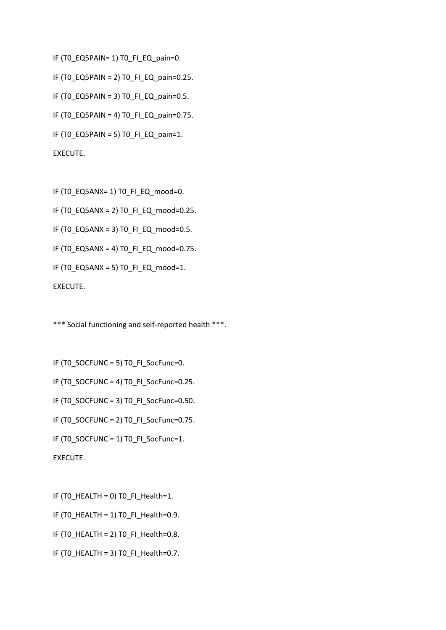```
IF (TO_EQ5PAIN= 1) TO_FI_EQ_pain=0.
```

```
IF (T0_EQ5PAIN = 2) T0_FI_EQ_pain=0.25.
```
- IF (TO\_EQ5PAIN = 3) TO\_FI\_EQ\_pain=0.5.
- IF (T0\_EQ5PAIN = 4) T0\_FI\_EQ\_pain=0.75.
- IF (T0\_EQ5PAIN = 5) T0\_FI\_EQ\_pain=1.

EXECUTE.

IF (T0\_EQ5ANX= 1) T0\_FI\_EQ\_mood=0.

```
IF (T0_EQ5ANX = 2) T0_FI_EQ_mood=0.25.
```
IF (T0\_EQ5ANX = 3) T0\_FI\_EQ\_mood=0.5.

IF (T0\_EQ5ANX = 4) T0\_FI\_EQ\_mood=0.75.

```
IF (TO EQ5ANX = 5) TO FI_EQ_mood=1.
```
EXECUTE.

\*\*\* Social functioning and self-reported health \*\*\*.

IF (T0\_SOCFUNC = 5) T0\_FI\_SocFunc=0.

IF (T0\_SOCFUNC = 4) T0\_FI\_SocFunc=0.25.

IF (T0\_SOCFUNC = 3) T0\_FI\_SocFunc=0.50.

IF (T0\_SOCFUNC = 2) T0\_FI\_SocFunc=0.75.

IF (TO SOCFUNC = 1) TO FI\_SocFunc=1.

EXECUTE.

IF (TO HEALTH = 0) TO FI\_Health=1.

IF (T0\_HEALTH = 1) T0\_FI\_Health=0.9.

IF (T0\_HEALTH = 2) T0\_FI\_Health=0.8.

IF (TO HEALTH = 3) TO FI\_Health=0.7.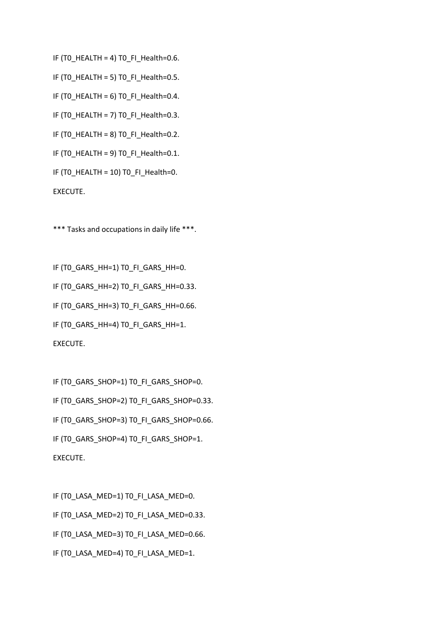IF (TO\_HEALTH = 4) TO\_FI\_Health=0.6.

IF (T0\_HEALTH = 5) T0\_FI\_Health=0.5.

IF (TO HEALTH = 6) TO FI\_Health=0.4.

IF (T0\_HEALTH = 7) T0\_FI\_Health=0.3.

IF (T0\_HEALTH = 8) T0\_FI\_Health=0.2.

IF (TO HEALTH = 9) TO FI\_Health=0.1.

IF (T0\_HEALTH = 10) T0\_FI\_Health=0.

EXECUTE.

\*\*\* Tasks and occupations in daily life \*\*\*.

IF (TO GARS HH=1) TO FI GARS HH=0. IF (T0\_GARS\_HH=2) T0\_FI\_GARS\_HH=0.33. IF (T0\_GARS\_HH=3) T0\_FI\_GARS\_HH=0.66. IF (T0\_GARS\_HH=4) T0\_FI\_GARS\_HH=1. EXECUTE.

IF (TO GARS SHOP=1) TO FI GARS SHOP=0. IF (TO GARS SHOP=2) TO FI GARS SHOP=0.33. IF (T0\_GARS\_SHOP=3) T0\_FI\_GARS\_SHOP=0.66. IF (TO GARS SHOP=4) TO FI GARS SHOP=1. EXECUTE.

IF (TO LASA MED=1) TO FI LASA MED=0. IF (T0\_LASA\_MED=2) T0\_FI\_LASA\_MED=0.33. IF (T0\_LASA\_MED=3) T0\_FI\_LASA\_MED=0.66. IF (TO LASA MED=4) TO FI LASA MED=1.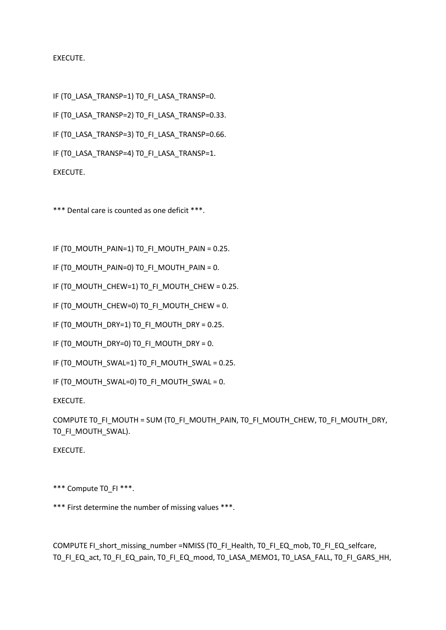## EXECUTE.

IF (TO LASA TRANSP=1) TO FI LASA TRANSP=0. IF (TO LASA TRANSP=2) TO FI LASA TRANSP=0.33. IF (TO LASA TRANSP=3) TO FI LASA TRANSP=0.66. IF (TO LASA TRANSP=4) TO FI LASA TRANSP=1.

EXECUTE.

\*\*\* Dental care is counted as one deficit \*\*\*.

IF (T0\_MOUTH\_PAIN=1) T0\_FI\_MOUTH\_PAIN = 0.25.

IF (TO MOUTH PAIN=0) TO FI\_MOUTH\_PAIN = 0.

IF (T0\_MOUTH\_CHEW=1) T0\_FI\_MOUTH\_CHEW = 0.25.

IF (T0\_MOUTH\_CHEW=0) T0\_FI\_MOUTH\_CHEW = 0.

IF (TO\_MOUTH\_DRY=1) TO\_FI\_MOUTH\_DRY = 0.25.

IF (T0\_MOUTH\_DRY=0) T0\_FI\_MOUTH\_DRY = 0.

IF (T0\_MOUTH\_SWAL=1) T0\_FI\_MOUTH\_SWAL = 0.25.

IF (TO MOUTH\_SWAL=0) TO FI\_MOUTH\_SWAL = 0.

EXECUTE.

COMPUTE T0\_FI\_MOUTH = SUM (T0\_FI\_MOUTH\_PAIN, T0\_FI\_MOUTH\_CHEW, T0\_FI\_MOUTH\_DRY, T0\_FI\_MOUTH\_SWAL).

EXECUTE.

\*\*\* Compute T0 FI \*\*\*.

\*\*\* First determine the number of missing values \*\*\*.

COMPUTE FI\_short\_missing\_number =NMISS (T0\_FI\_Health, T0\_FI\_EQ\_mob, T0\_FI\_EQ\_selfcare, T0\_FI\_EQ\_act, T0\_FI\_EQ\_pain, T0\_FI\_EQ\_mood, T0\_LASA\_MEMO1, T0\_LASA\_FALL, T0\_FI\_GARS\_HH,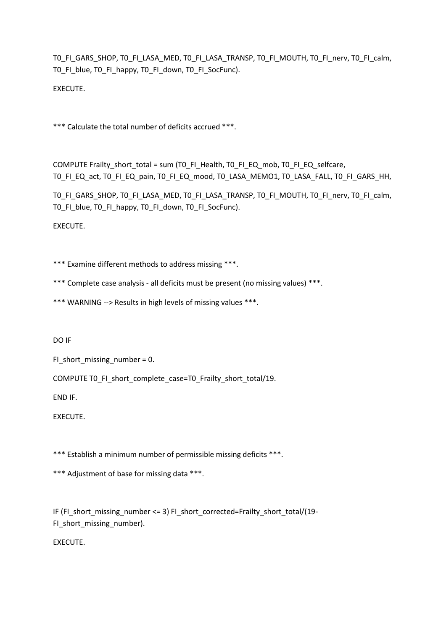T0\_FI\_GARS\_SHOP, T0\_FI\_LASA\_MED, T0\_FI\_LASA\_TRANSP, T0\_FI\_MOUTH, T0\_FI\_nerv, T0\_FI\_calm, T0\_FI\_blue, T0\_FI\_happy, T0\_FI\_down, T0\_FI\_SocFunc).

EXECUTE.

\*\*\* Calculate the total number of deficits accrued \*\*\*.

COMPUTE Frailty\_short\_total = sum (T0\_FI\_Health, T0\_FI\_EQ\_mob, T0\_FI\_EQ\_selfcare, T0\_FI\_EQ\_act, T0\_FI\_EQ\_pain, T0\_FI\_EQ\_mood, T0\_LASA\_MEMO1, T0\_LASA\_FALL, T0\_FI\_GARS\_HH,

TO FI GARS SHOP, TO FI LASA MED, TO FI LASA TRANSP, TO FI MOUTH, TO FI nerv, TO FI calm, T0\_FI\_blue, T0\_FI\_happy, T0\_FI\_down, T0\_FI\_SocFunc).

EXECUTE.

\*\*\* Examine different methods to address missing \*\*\*.

\*\*\* Complete case analysis - all deficits must be present (no missing values) \*\*\*.

\*\*\* WARNING --> Results in high levels of missing values \*\*\*.

DO IF

FI\_short\_missing\_number = 0.

COMPUTE T0\_FI\_short\_complete\_case=T0\_Frailty\_short\_total/19.

END IF.

EXECUTE.

\*\*\* Establish a minimum number of permissible missing deficits \*\*\*.

\*\*\* Adjustment of base for missing data \*\*\*.

IF (FI\_short\_missing\_number <= 3) FI\_short\_corrected=Frailty\_short\_total/(19-FI\_short\_missing\_number).

EXECUTE.